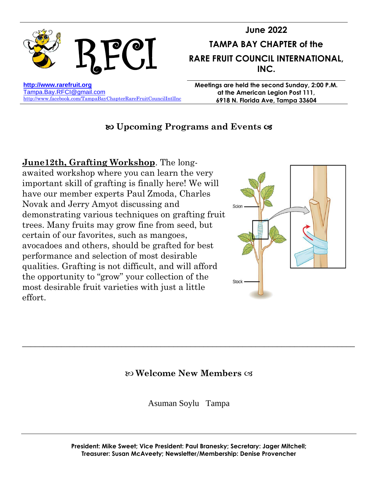

## **Upcoming Programs and Events**

**June12th, Grafting Workshop**. The longawaited workshop where you can learn the very important skill of grafting is finally here! We will have our member experts Paul Zmoda, Charles Novak and Jerry Amyot discussing and demonstrating various techniques on grafting fruit trees. Many fruits may grow fine from seed, but certain of our favorites, such as mangoes, avocadoes and others, should be grafted for best performance and selection of most desirable qualities. Grafting is not difficult, and will afford the opportunity to "grow" your collection of the most desirable fruit varieties with just a little effort.



## **Welcome New Members**

\_\_\_\_\_\_\_\_\_\_\_\_\_\_\_\_\_\_\_\_\_\_\_\_\_\_\_\_\_\_\_\_\_\_\_\_\_\_\_\_\_\_\_\_\_\_\_\_\_\_\_\_\_\_\_\_\_\_\_\_\_\_\_\_\_\_\_\_\_\_\_\_\_\_\_\_\_

Asuman Soylu Tampa

**President: Mike Sweet; Vice President: Paul Branesky; Secretary: Jager Mitchell; Treasurer: Susan McAveety; Newsletter/Membership: Denise Provencher**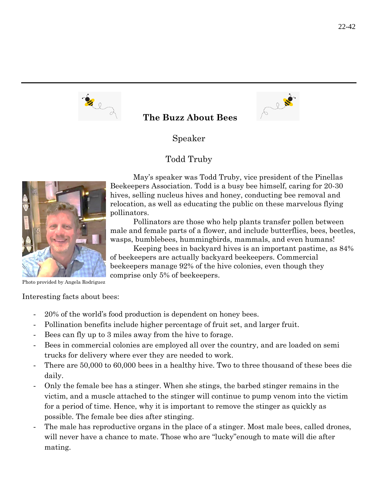

## **The Buzz About Bees**



Speaker

## Todd Truby



May's speaker was Todd Truby, vice president of the Pinellas Beekeepers Association. Todd is a busy bee himself, caring for 20-30 hives, selling nucleus hives and honey, conducting bee removal and relocation, as well as educating the public on these marvelous flying pollinators.

Pollinators are those who help plants transfer pollen between male and female parts of a flower, and include butterflies, bees, beetles, wasps, bumblebees, hummingbirds, mammals, and even humans!

Keeping bees in backyard hives is an important pastime, as 84% of beekeepers are actually backyard beekeepers. Commercial beekeepers manage 92% of the hive colonies, even though they comprise only 5% of beekeepers.

Photo provided by Angela Rodriguez

Interesting facts about bees:

- 20% of the world's food production is dependent on honey bees.
- Pollination benefits include higher percentage of fruit set, and larger fruit.
- Bees can fly up to 3 miles away from the hive to forage.
- Bees in commercial colonies are employed all over the country, and are loaded on semi trucks for delivery where ever they are needed to work.
- There are 50,000 to 60,000 bees in a healthy hive. Two to three thousand of these bees die daily.
- Only the female bee has a stinger. When she stings, the barbed stinger remains in the victim, and a muscle attached to the stinger will continue to pump venom into the victim for a period of time. Hence, why it is important to remove the stinger as quickly as possible. The female bee dies after stinging.
- The male has reproductive organs in the place of a stinger. Most male bees, called drones, will never have a chance to mate. Those who are "lucky" enough to mate will die after mating.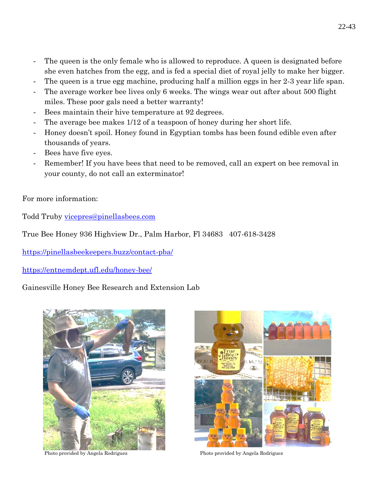- The queen is the only female who is allowed to reproduce. A queen is designated before she even hatches from the egg, and is fed a special diet of royal jelly to make her bigger.
- The queen is a true egg machine, producing half a million eggs in her 2-3 year life span.
- The average worker bee lives only 6 weeks. The wings wear out after about 500 flight miles. These poor gals need a better warranty!
- Bees maintain their hive temperature at 92 degrees.
- The average bee makes  $1/12$  of a teaspoon of honey during her short life.
- Honey doesn't spoil. Honey found in Egyptian tombs has been found edible even after thousands of years.
- Bees have five eyes.
- Remember! If you have bees that need to be removed, call an expert on bee removal in your county, do not call an exterminator!

For more information:

Todd Truby [vicepres@pinellasbees.com](mailto:vicepres@pinellasbees.com)

True Bee Honey 936 Highview Dr., Palm Harbor, Fl 34683 407-618-3428

<https://pinellasbeekeepers.buzz/contact-pba/>

<https://entnemdept.ufl.edu/honey-bee/>

### Gainesville Honey Bee Research and Extension Lab



Photo provided by Angela Rodriguez Photo provided by Angela Rodriguez

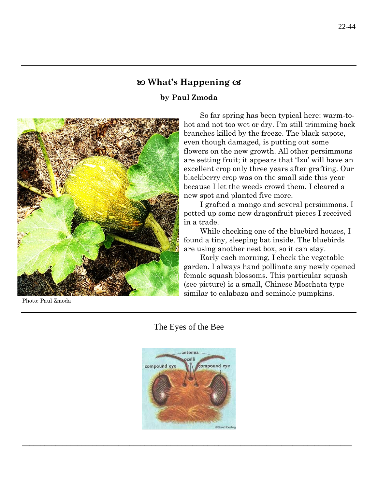## **What's Happening**

### **by Paul Zmoda**



Photo: Paul Zmoda

So far spring has been typical here: warm-tohot and not too wet or dry. I'm still trimming back branches killed by the freeze. The black sapote, even though damaged, is putting out some flowers on the new growth. All other persimmons are setting fruit; it appears that 'Izu' will have an excellent crop only three years after grafting. Our blackberry crop was on the small side this year because I let the weeds crowd them. I cleared a new spot and planted five more.

I grafted a mango and several persimmons. I potted up some new dragonfruit pieces I received in a trade.

While checking one of the bluebird houses, I found a tiny, sleeping bat inside. The bluebirds are using another nest box, so it can stay.

Early each morning, I check the vegetable garden. I always hand pollinate any newly opened female squash blossoms. This particular squash (see picture) is a small, Chinese Moschata type similar to calabaza and seminole pumpkins.





**\_\_\_\_\_\_\_\_\_\_\_\_\_\_\_\_\_\_\_\_\_\_\_\_\_\_\_\_\_\_\_\_\_\_\_\_\_\_\_\_\_\_\_\_\_\_\_\_\_\_\_\_\_\_\_\_\_\_\_\_\_\_\_\_\_\_\_\_\_\_\_\_\_\_\_\_\_\_\_\_\_\_\_\_\_\_\_\_\_**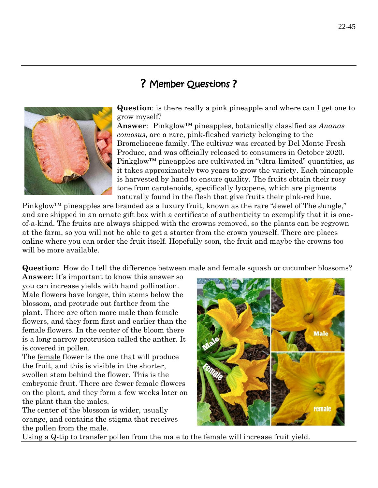# ? Member Questions ?



**Question**: is there really a pink pineapple and where can I get one to grow myself?

**Answer**: Pinkglow™ pineapples, botanically classified as *Ananas comosus*, are a rare, pink-fleshed variety belonging to the Bromeliaceae family. The cultivar was created by Del Monte Fresh Produce, and was officially released to consumers in October 2020. Pinkglow™ pineapples are cultivated in "ultra-limited" quantities, as it takes approximately two years to grow the variety. Each pineapple is harvested by hand to ensure quality. The fruits obtain their rosy tone from carotenoids, specifically lycopene, which are pigments naturally found in the flesh that give fruits their pink-red hue.

Pinkglow™ pineapples are branded as a luxury fruit, known as the rare "Jewel of The Jungle," and are shipped in an ornate gift box with a certificate of authenticity to exemplify that it is oneof-a-kind. The fruits are always shipped with the crowns removed, so the plants can be regrown at the farm, so you will not be able to get a starter from the crown yourself. There are places online where you can order the fruit itself. Hopefully soon, the fruit and maybe the crowns too will be more available.

**Question:** How do I tell the difference between male and female squash or cucumber blossoms?

**Answer:** It's important to know this answer so you can increase yields with hand pollination. Male flowers have longer, thin stems below the blossom, and protrude out farther from the plant. There are often more male than female flowers, and they form first and earlier than the female flowers. In the center of the bloom there is a long narrow protrusion called the anther. It is covered in pollen.

The female flower is the one that will produce the fruit, and this is visible in the shorter, swollen stem behind the flower. This is the embryonic fruit. There are fewer female flowers on the plant, and they form a few weeks later on the plant than the males.

The center of the blossom is wider, usually orange, and contains the stigma that receives the pollen from the male.



Using a Q-tip to transfer pollen from the male to the female will increase fruit yield.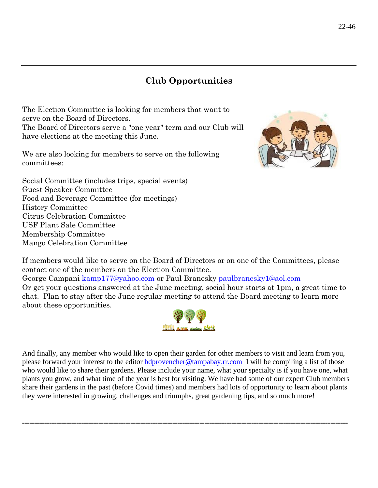# **Club Opportunities**

The Election Committee is looking for members that want to serve on the Board of Directors. The Board of Directors serve a "one year" term and our Club will have elections at the meeting this June.

We are also looking for members to serve on the following committees:



Social Committee (includes trips, special events) Guest Speaker Committee Food and Beverage Committee (for meetings) History Committee Citrus Celebration Committee USF Plant Sale Committee Membership Committee Mango Celebration Committee

If members would like to serve on the Board of Directors or on one of the Committees, please contact one of the members on the Election Committee. George Campani [kamp177@yahoo.com](mailto:kamp177@yahoo.com) or Paul Branesky [paulbranesky1@aol.com](mailto:paulbranesky1@aol.com) Or get your questions answered at the June meeting, social hour starts at 1pm, a great time to chat. Plan to stay after the June regular meeting to attend the Board meeting to learn more about these opportunities.



And finally, any member who would like to open their garden for other members to visit and learn from you, please forward your interest to the editor [bdprovencher@tampabay.rr.com](mailto:bdprovencher@tampabay.rr.com) I will be compiling a list of those who would like to share their gardens. Please include your name, what your specialty is if you have one, what plants you grow, and what time of the year is best for visiting. We have had some of our expert Club members share their gardens in the past (before Covid times) and members had lots of opportunity to learn about plants they were interested in growing, challenges and triumphs, great gardening tips, and so much more!

**------------------------------------------------------------------------------------------------------------------------------------**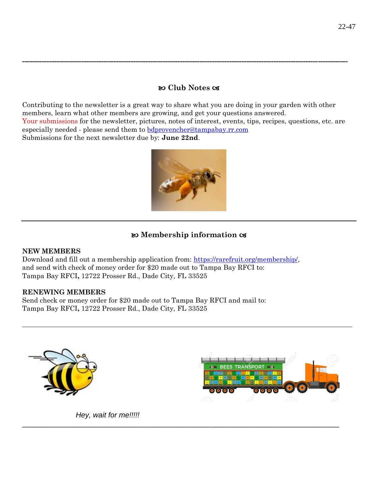### **Club Notes**

**------------------------------------------------------------------------------------------------------------------------------------**

Contributing to the newsletter is a great way to share what you are doing in your garden with other members, learn what other members are growing, and get your questions answered. Your submissions for the newsletter, pictures, notes of interest, events, tips, recipes, questions, etc. are especially needed - please send them to [bdprovencher@tampabay.rr.com](mailto:bdprovencher@tampabay.rr.com)  Submissions for the next newsletter due by: **June 22nd**.



## **Membership information**

 $\_$  ,  $\_$  ,  $\_$  ,  $\_$  ,  $\_$  ,  $\_$  ,  $\_$  ,  $\_$  ,  $\_$  ,  $\_$  ,  $\_$  ,  $\_$  ,  $\_$  ,  $\_$  ,  $\_$  ,  $\_$  ,  $\_$  ,  $\_$  ,  $\_$  ,  $\_$  ,  $\_$  ,  $\_$  ,  $\_$  ,  $\_$  ,  $\_$  ,  $\_$  ,  $\_$  ,  $\_$  ,  $\_$  ,  $\_$  ,  $\_$  ,  $\_$  ,  $\_$  ,  $\_$  ,  $\_$  ,  $\_$  ,  $\_$  ,

\_\_\_\_\_\_\_\_\_\_\_\_\_\_\_\_\_\_\_\_\_\_\_\_\_\_\_\_\_\_\_\_\_\_\_\_\_\_\_\_\_\_\_\_\_\_\_\_\_\_\_\_\_\_\_\_\_\_\_\_\_\_\_\_\_\_\_\_\_\_\_\_\_\_\_\_\_

### **NEW MEMBERS**

Download and fill out a membership application from: [https://rarefruit.org/membership/,](https://rarefruit.org/membership/) and send with check of money order for \$20 made out to Tampa Bay RFCI to: Tampa Bay RFCI**,** 12722 Prosser Rd., Dade City, FL 33525

### **RENEWING MEMBERS**

Send check or money order for \$20 made out to Tampa Bay RFCI and mail to: Tampa Bay RFCI**,** 12722 Prosser Rd., Dade City, FL 33525





 *Hey, wait for me!!!!!*